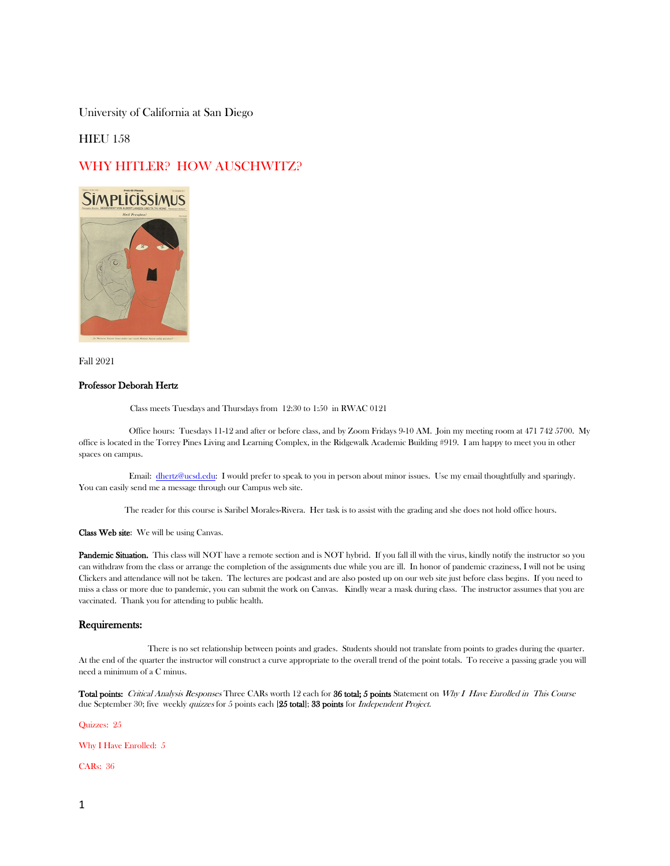University of California at San Diego

## **HIEU 158**

# WHY HITLER? HOW AUSCHWITZ?



Fall 2021

## Professor Deborah Hertz

Class meets Tuesdays and Thursdays from 12:30 to 1:50 in RWAC 0121

 Office hours: Tuesdays 11-12 and after or before class, and by Zoom Fridays 9-10 AM. Join my meeting room at 471 742 5700. My office is located in the Torrey Pines Living and Learning Complex, in the Ridgewalk Academic Building #919. I am happy to meet you in other spaces on campus.

 Email: [dhertz@ucsd.edu:](mailto:dhertz@ucsd.edu) I would prefer to speak to you in person about minor issues. Use my email thoughtfully and sparingly. You can easily send me a message through our Campus web site.

The reader for this course is Saribel Morales-Rivera. Her task is to assist with the grading and she does not hold office hours.

Class Web site: We will be using Canvas.

Pandemic Situation. This class will NOT have a remote section and is NOT hybrid. If you fall ill with the virus, kindly notify the instructor so you can withdraw from the class or arrange the completion of the assignments due while you are ill. In honor of pandemic craziness, I will not be using Clickers and attendance will not be taken. The lectures are podcast and are also posted up on our web site just before class begins. If you need to miss a class or more due to pandemic, you can submit the work on Canvas. Kindly wear a mask during class. The instructor assumes that you are vaccinated. Thank you for attending to public health.

### Requirements:

 There is no set relationship between points and grades. Students should not translate from points to grades during the quarter. At the end of the quarter the instructor will construct a curve appropriate to the overall trend of the point totals. To receive a passing grade you will need a minimum of a C minus.

Total points: Critical Analysis Responses Three CARs worth 12 each for 36 total; 5 points Statement on Why I Have Enrolled in This Course due September 30; five weekly quizzes for 5 points each [25 total]; 33 points for *Independent Project.* 

Quizzes: 25

Why I Have Enrolled: 5

CARs: 36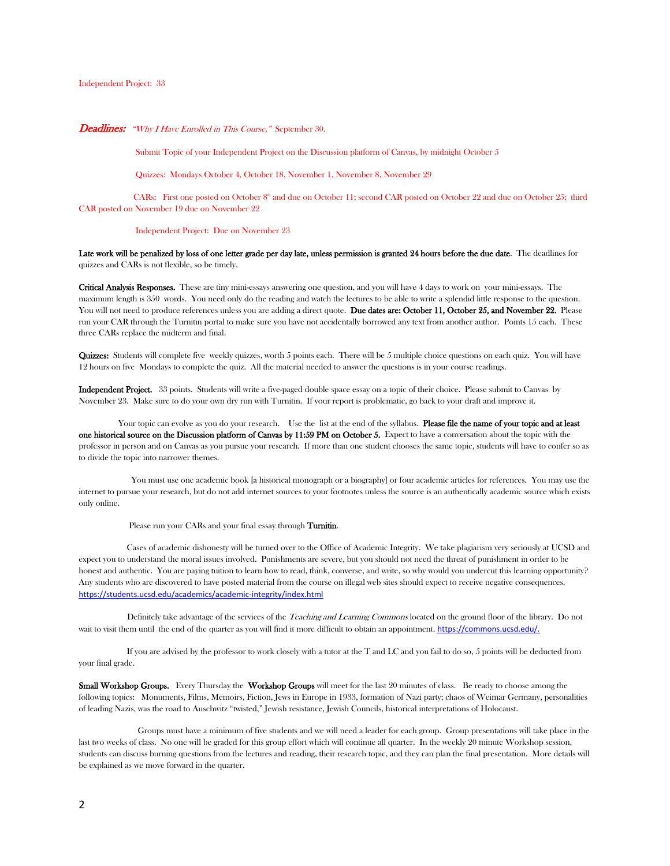### Independent Project: 33

### Deadlines: "Why I Have Enrolled in This Course," September 30.

Submit Topic of your Independent Project on the Discussion platform of Canvas, by midnight October 5

Quizzes: Mondays October 4, October 18, November 1, November 8, November 29

CARs: First one posted on October  $8^{\text{th}}$  and due on October 11; second CAR posted on October 22 and due on October 25; third CAR posted on November 19 due on November 22

#### Independent Project: Due on November 23

Late work will be penalized by loss of one letter grade per day late, unless permission is granted 24 hours before the due date. The deadlines for quizzes and CARs is not flexible, so be timely.

Critical Analysis Responses. These are tiny mini-essays answering one question, and you will have 4 days to work on your mini-essays. The maximum length is 350 words. You need only do the reading and watch the lectures to be able to write a splendid little response to the question. You will not need to produce references unless you are adding a direct quote. Due dates are: October 11, October 25, and November 22. Please run your CAR through the Turnitin portal to make sure you have not accidentally borrowed any text from another author. Points 15 each. These three CARs replace the midterm and final.

Quizzes: Students will complete five weekly quizzes, worth 5 points each. There will be 5 multiple choice questions on each quiz. You will have 12 hours on five Mondays to complete the quiz. All the material needed to answer the questions is in your course readings.

Independent Project. 33 points. Students will write a five-paged double space essay on a topic of their choice. Please submit to Canvas by November 23. Make sure to do your own dry run with Turnitin. If your report is problematic, go back to your draft and improve it.

Your topic can evolve as you do your research. Use the list at the end of the syllabus. **Please file the name of your topic and at least** one historical source on the Discussion platform of Canvas by 11:59 PM on October 5. Expect to have a conversation about the topic with the professor in person and on Canvas as you pursue your research. If more than one student chooses the same topic, students will have to confer so as to divide the topic into narrower themes.

 You must use one academic book [a historical monograph or a biography] or four academic articles for references. You may use the internet to pursue your research, but do not add internet sources to your footnotes unless the source is an authentically academic source which exists only online.

Please run your CARs and your final essay through Turnitin.

 Cases of academic dishonesty will be turned over to the Office of Academic Integrity. We take plagiarism very seriously at UCSD and expect you to understand the moral issues involved. Punishments are severe, but you should not need the threat of punishment in order to be honest and authentic. You are paying tuition to learn how to read, think, converse, and write, so why would you undercut this learning opportunity? Any students who are discovered to have posted material from the course on illegal web sites should expect to receive negative consequences. <https://students.ucsd.edu/academics/academic-integrity/index.html>

Definitely take advantage of the services of the Teaching and Learning Commons located on the ground floor of the library. Do not wait to visit them until the end of the quarter as you will find it more difficult to obtain an appointment. https://commons.ucsd.edu/.

 If you are advised by the professor to work closely with a tutor at the T and LC and you fail to do so, 5 points will be deducted from your final grade.

Small Workshop Groups. Every Thursday the Workshop Groups will meet for the last 20 minutes of class. Be ready to choose among the following topics: Monuments, Films, Memoirs, Fiction, Jews in Europe in 1933, formation of Nazi party; chaos of Weimar Germany, personalities of leading Nazis, was the road to Auschwitz "twisted," Jewish resistance, Jewish Councils, historical interpretations of Holocaust.

 Groups must have a minimum of five students and we will need a leader for each group. Group presentations will take place in the last two weeks of class. No one will be graded for this group effort which will continue all quarter. In the weekly 20 minute Workshop session, students can discuss burning questions from the lectures and reading, their research topic, and they can plan the final presentation. More details will be explained as we move forward in the quarter.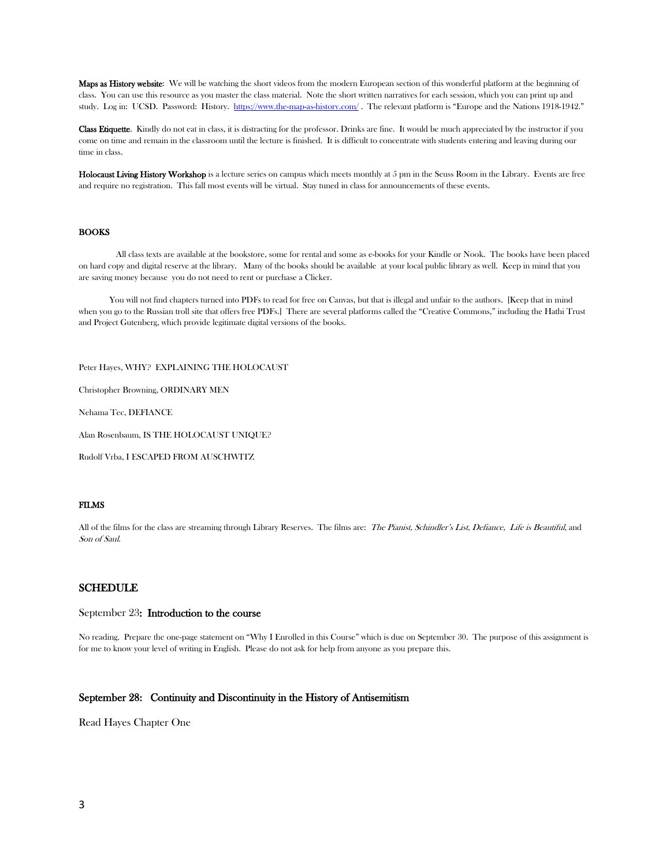Maps as History website: We will be watching the short videos from the modern European section of this wonderful platform at the beginning of class. You can use this resource as you master the class material. Note the short written narratives for each session, which you can print up and study. Log in: UCSD. Password: History.<https://www.the-map-as-history.com/>. The relevant platform is "Europe and the Nations 1918-1942."

Class Etiquette. Kindly do not eat in class, it is distracting for the professor. Drinks are fine. It would be much appreciated by the instructor if you come on time and remain in the classroom until the lecture is finished. It is difficult to concentrate with students entering and leaving during our time in class.

Holocaust Living History Workshop is a lecture series on campus which meets monthly at 5 pm in the Seuss Room in the Library. Events are free and require no registration. This fall most events will be virtual. Stay tuned in class for announcements of these events.

### **BOOKS**

 All class texts are available at the bookstore, some for rental and some as e-books for your Kindle or Nook. The books have been placed on hard copy and digital reserve at the library. Many of the books should be available at your local public library as well. Keep in mind that you are saving money because you do not need to rent or purchase a Clicker.

 You will not find chapters turned into PDFs to read for free on Canvas, but that is illegal and unfair to the authors. [Keep that in mind when you go to the Russian troll site that offers free PDFs.] There are several platforms called the "Creative Commons," including the Hathi Trust and Project Gutenberg, which provide legitimate digital versions of the books.

Peter Hayes, WHY? EXPLAINING THE HOLOCAUST

Christopher Browning, ORDINARY MEN

Nehama Tec, DEFIANCE

Alan Rosenbaum, IS THE HOLOCAUST UNIQUE?

Rudolf Vrba, I ESCAPED FROM AUSCHWITZ

### FILMS

All of the films for the class are streaming through Library Reserves. The films are: The Pianist, Schindler's List, Defiance, Life is Beautiful, and Son of Saul.

### SCHEDULE

### September 23: Introduction to the course

No reading. Prepare the one-page statement on "Why I Enrolled in this Course" which is due on September 30. The purpose of this assignment is for me to know your level of writing in English. Please do not ask for help from anyone as you prepare this.

## September 28: Continuity and Discontinuity in the History of Antisemitism

Read Hayes Chapter One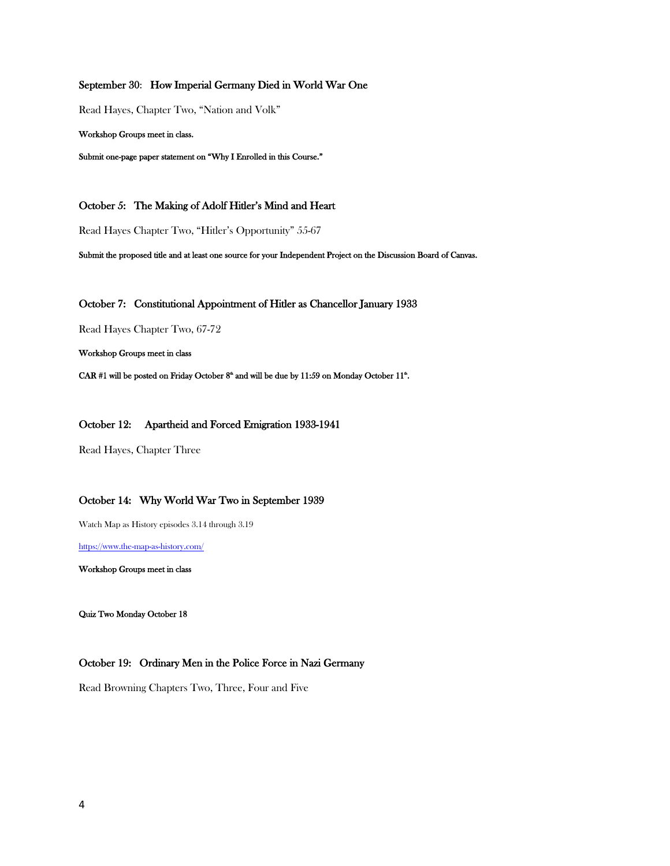## September 30: How Imperial Germany Died in World War One

Read Hayes, Chapter Two, "Nation and Volk"

Workshop Groups meet in class.

Submit one-page paper statement on "Why I Enrolled in this Course."

October 5: The Making of Adolf Hitler's Mind and Heart

Read Hayes Chapter Two, "Hitler's Opportunity" 55-67

Submit the proposed title and at least one source for your Independent Project on the Discussion Board of Canvas.

October 7: Constitutional Appointment of Hitler as Chancellor January 1933

Read Hayes Chapter Two, 67-72

Workshop Groups meet in class

CAR #1 will be posted on Friday October  $8^{\text{th}}$  and will be due by 11:59 on Monday October 11<sup>th</sup>.

October 12: Apartheid and Forced Emigration 1933-1941

Read Hayes, Chapter Three

## October 14: Why World War Two in September 1939

Watch Map as History episodes 3.14 through 3.19

<https://www.the-map-as-history.com/>

Workshop Groups meet in class

Quiz Two Monday October 18

## October 19: Ordinary Men in the Police Force in Nazi Germany

Read Browning Chapters Two, Three, Four and Five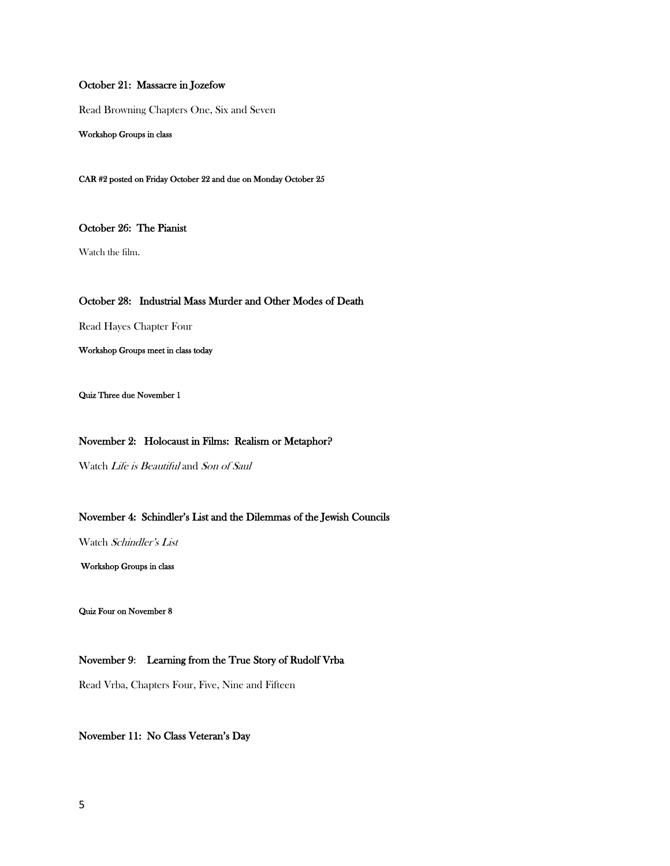## October 21: Massacre in Jozefow

Read Browning Chapters One, Six and Seven

Workshop Groups in class

CAR #2 posted on Friday October 22 and due on Monday October 25

October 26: The Pianist

Watch the film.

## October 28: Industrial Mass Murder and Other Modes of Death

Read Hayes Chapter Four

Workshop Groups meet in class today

Quiz Three due November 1

## November 2: Holocaust in Films: Realism or Metaphor?

Watch Life is Beautiful and Son of Saul

## November 4: Schindler's List and the Dilemmas of the Jewish Councils

Watch Schindler's List

Workshop Groups in class

Quiz Four on November 8

## November 9: Learning from the True Story of Rudolf Vrba

Read Vrba, Chapters Four, Five, Nine and Fifteen

## November 11: No Class Veteran's Day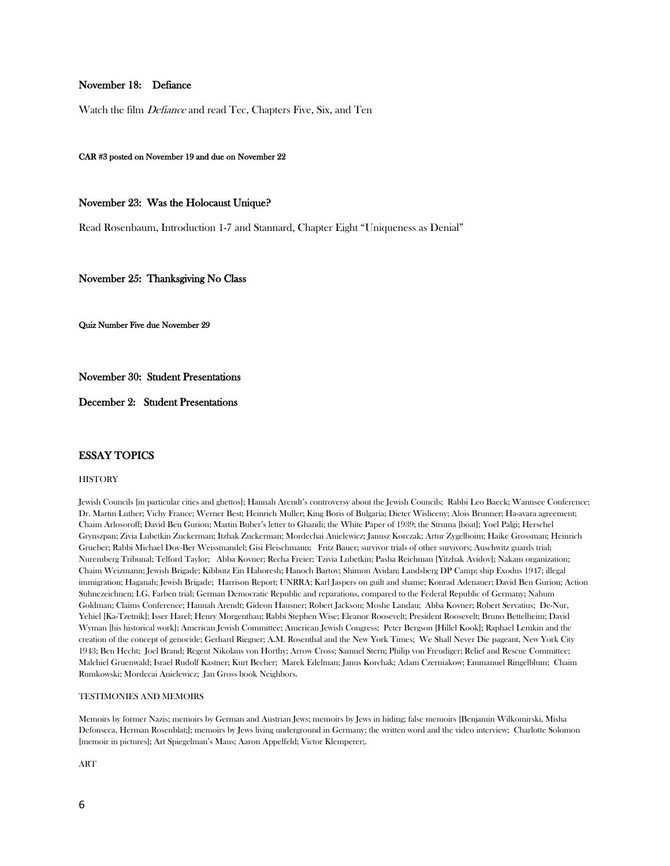## November 18: Defiance

Watch the film *Defiance* and read Tec, Chapters Five, Six, and Ten

### CAR #3 posted on November 19 and due on November 22

### November 23: Was the Holocaust Unique?

Read Rosenbaum, Introduction 1-7 and Stannard, Chapter Eight "Uniqueness as Denial"

November 25: Thanksgiving No Class

Quiz Number Five due November 29

November 30: Student Presentations

December 2: Student Presentations

### ESSAY TOPICS

#### **HISTORY**

Jewish Councils [in particular cities and ghettos]; Hannah Arendt's controversy about the Jewish Councils; Rabbi Leo Baeck; Wannsee Conference; Dr. Martin Luther; Vichy France; Werner Best; Heinrich Muller; King Boris of Bulgaria; Dieter Wisliceny; Alois Brunner; Ha-avara agreement; Chaim Arlosoroff; David Ben Gurion; Martin Buber's letter to Ghandi; the White Paper of 1939; the Struma [boat]; Yoel Palgi; Herschel Grynszpan; Zivia Lubetkin Zuckerman; Itzhak Zuckerman; Mordechai Anielewicz; Janusz Korczak; Artur Zygelboim; Haike Grossman; Heinrich Grueber; Rabbi Michael Dov-Ber Weissmandel; Gisi Fleischmann; Fritz Bauer; survivor trials of other survivors; Auschwitz guards trial; Nuremberg Tribunal; Telford Taylor; Abba Kovner; Recha Freier; Tzivia Lubetkin; Pasha Reichman [Yitzhak Avidov]; Nakam organization; Chaim Weizmann; Jewish Brigade; Kibbutz Ein Hahoresh; Hanoch Bartov; Shimon Avidan; Landsberg DP Camp; ship Exodus 1947; illegal immigration; Haganah; Jewish Brigade; Harrison Report; UNRRA; Karl Jaspers on guilt and shame; Konrad Adenauer; David Ben Gurion; Action Suhnezeichnen; I.G. Farben trial; German Democratic Republic and reparations, compared to the Federal Republic of Germany; Nahum Goldman; Claims Conference; Hannah Arendt; Gideon Hausner; Robert Jackson; Moshe Landau; Abba Kovner; Robert Servatius; De-Nur, Yehiel [Ka-Tzetnik]; Isser Harel; Henry Morgenthau; Rabbi Stephen Wise; Eleanor Roosevelt; President Roosevelt; Bruno Bettelheim; David Wyman [his historical work]; American Jewish Committee; American Jewish Congress; Peter Bergson [Hillel Kook]; Raphael Lemkin and the creation of the concept of genocide; Gerhard Riegner; A.M. Rosenthal and the New York Times; We Shall Never Die pageant, New York City 1943; Ben Hecht; Joel Brand; Regent Nikolaus von Horthy; Arrow Cross; Samuel Stern; Philip von Freudiger; Relief and Rescue Committee; Malchiel Gruenwald; Israel Rudolf Kastner; Kurt Becher; Marek Edelman; Janus Korchak; Adam Czerniakow; Emmanuel Ringelblum; Chaim Rumkowski; Mordecai Anielewicz; Jan Gross book Neighbors.

### TESTIMONIES AND MEMOIRS

Memoirs by former Nazis; memoirs by German and Austrian Jews; memoirs by Jews in hiding; false memoirs [Benjamin Wilkomirski, Misha Defonseca, Herman Rosenblat;]; memoirs by Jews living underground in Germany; the written word and the video interview; Charlotte Solomon [memoir in pictures]; Art Spiegelman's Maus; Aaron Appelfeld; Victor Klemperer;.

ART